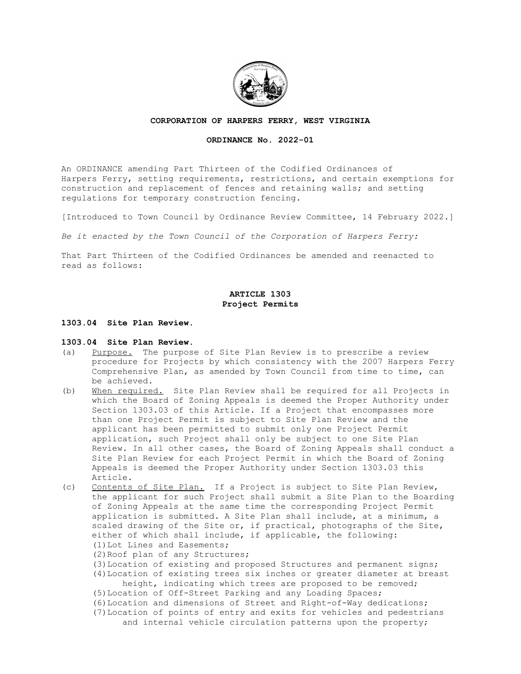

## **CORPORATION OF HARPERS FERRY, WEST VIRGINIA**

# **ORDINANCE No. 2022-01**

An ORDINANCE amending Part Thirteen of the Codified Ordinances of Harpers Ferry, setting requirements, restrictions, and certain exemptions for construction and replacement of fences and retaining walls; and setting regulations for temporary construction fencing.

[Introduced to Town Council by Ordinance Review Committee, 14 February 2022.]

*Be it enacted by the Town Council of the Corporation of Harpers Ferry:*

That Part Thirteen of the Codified Ordinances be amended and reenacted to read as follows:

# **ARTICLE 1303 Project Permits**

# **1303.04 Site Plan Review.**

## **1303.04 Site Plan Review.**

- (a) Purpose. The purpose of Site Plan Review is to prescribe a review procedure for Projects by which consistency with the 2007 Harpers Ferry Comprehensive Plan, as amended by Town Council from time to time, can be achieved.
- (b) When required. Site Plan Review shall be required for all Projects in which the Board of Zoning Appeals is deemed the Proper Authority under Section 1303.03 of this Article. If a Project that encompasses more than one Project Permit is subject to Site Plan Review and the applicant has been permitted to submit only one Project Permit application, such Project shall only be subject to one Site Plan Review. In all other cases, the Board of Zoning Appeals shall conduct a Site Plan Review for each Project Permit in which the Board of Zoning Appeals is deemed the Proper Authority under Section 1303.03 this Article.
- (c) Contents of Site Plan. If a Project is subject to Site Plan Review, the applicant for such Project shall submit a Site Plan to the Boarding of Zoning Appeals at the same time the corresponding Project Permit application is submitted. A Site Plan shall include, at a minimum, a scaled drawing of the Site or, if practical, photographs of the Site, either of which shall include, if applicable, the following: (1)Lot Lines and Easements;
	- (2)Roof plan of any Structures;
	- (3)Location of existing and proposed Structures and permanent signs;
	- (4)Location of existing trees six inches or greater diameter at breast height, indicating which trees are proposed to be removed;
	- (5)Location of Off-Street Parking and any Loading Spaces;
	-
	- (6)Location and dimensions of Street and Right-of-Way dedications; (7)Location of points of entry and exits for vehicles and pedestrians
		- and internal vehicle circulation patterns upon the property;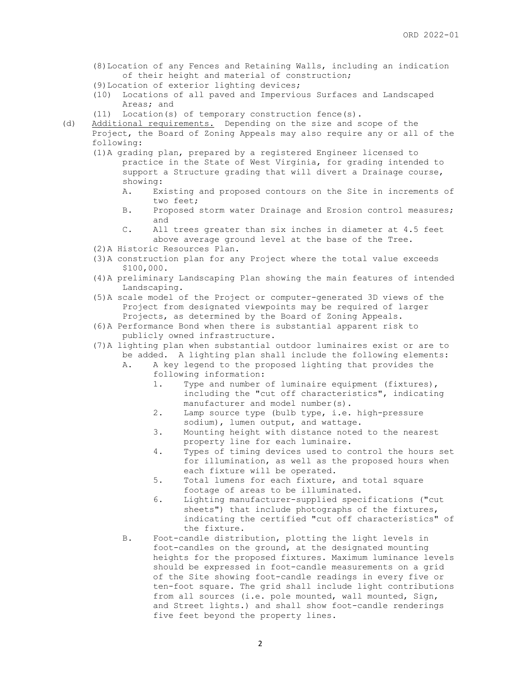- (8)Location of any Fences and Retaining Walls, including an indication of their height and material of construction;
- (9)Location of exterior lighting devices;
- (10) Locations of all paved and Impervious Surfaces and Landscaped Areas; and
- (11) Location(s) of temporary construction fence(s).
- (d) Additional requirements. Depending on the size and scope of the Project, the Board of Zoning Appeals may also require any or all of the following:
	- (1)A grading plan, prepared by a registered Engineer licensed to practice in the State of West Virginia, for grading intended to support a Structure grading that will divert a Drainage course, showing:
		- A. Existing and proposed contours on the Site in increments of two feet;
		- B. Proposed storm water Drainage and Erosion control measures; and
		- C. All trees greater than six inches in diameter at 4.5 feet above average ground level at the base of the Tree.
	- (2)A Historic Resources Plan.
	- (3)A construction plan for any Project where the total value exceeds \$100,000.
	- (4)A preliminary Landscaping Plan showing the main features of intended Landscaping.
	- (5)A scale model of the Project or computer-generated 3D views of the Project from designated viewpoints may be required of larger Projects, as determined by the Board of Zoning Appeals.
	- (6)A Performance Bond when there is substantial apparent risk to publicly owned infrastructure.
	- (7)A lighting plan when substantial outdoor luminaires exist or are to be added. A lighting plan shall include the following elements:
		- A. A key legend to the proposed lighting that provides the following information:
			- 1. Type and number of luminaire equipment (fixtures), including the "cut off characteristics", indicating manufacturer and model number(s).
			- 2. Lamp source type (bulb type, i.e. high-pressure sodium), lumen output, and wattage.
			- 3. Mounting height with distance noted to the nearest property line for each luminaire.
			- 4. Types of timing devices used to control the hours set for illumination, as well as the proposed hours when each fixture will be operated.
			- 5. Total lumens for each fixture, and total square footage of areas to be illuminated.
			- 6. Lighting manufacturer-supplied specifications ("cut sheets") that include photographs of the fixtures, indicating the certified "cut off characteristics" of the fixture.
		- B. Foot-candle distribution, plotting the light levels in foot-candles on the ground, at the designated mounting heights for the proposed fixtures. Maximum luminance levels should be expressed in foot-candle measurements on a grid of the Site showing foot-candle readings in every five or ten-foot square. The grid shall include light contributions from all sources (i.e. pole mounted, wall mounted, Sign, and Street lights.) and shall show foot-candle renderings five feet beyond the property lines.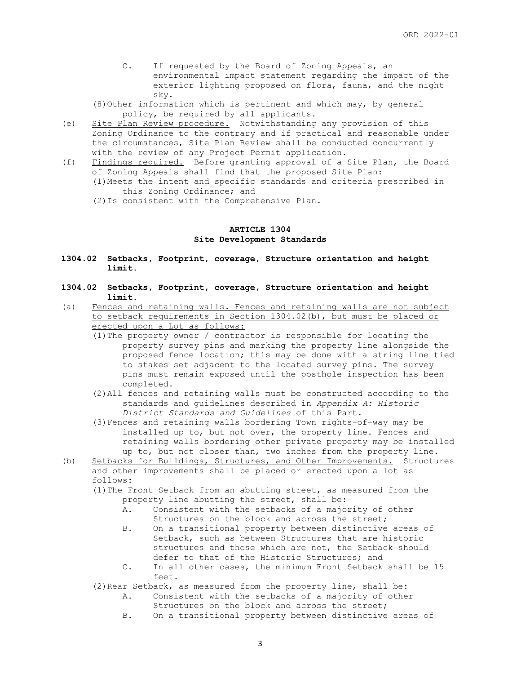- C. If requested by the Board of Zoning Appeals, an environmental impact statement regarding the impact of the exterior lighting proposed on flora, fauna, and the night sky.
- (8)Other information which is pertinent and which may, by general policy, be required by all applicants.
- (e) Site Plan Review procedure. Notwithstanding any provision of this Zoning Ordinance to the contrary and if practical and reasonable under the circumstances, Site Plan Review shall be conducted concurrently with the review of any Project Permit application.
- (f) Findings required. Before granting approval of a Site Plan, the Board of Zoning Appeals shall find that the proposed Site Plan:
	- (1)Meets the intent and specific standards and criteria prescribed in this Zoning Ordinance; and
	- (2)Is consistent with the Comprehensive Plan.

# **ARTICLE 1304 Site Development Standards**

- **1304.02 Setbacks, Footprint, coverage, Structure orientation and height limit.**
- **1304.02 Setbacks, Footprint, coverage, Structure orientation and height limit.**
- (a) Fences and retaining walls. Fences and retaining walls are not subject to setback requirements in Section 1304.02(b), but must be placed or erected upon a Lot as follows:
	- (1)The property owner / contractor is responsible for locating the property survey pins and marking the property line alongside the proposed fence location; this may be done with a string line tied to stakes set adjacent to the located survey pins. The survey pins must remain exposed until the posthole inspection has been completed.
	- (2)All fences and retaining walls must be constructed according to the standards and guidelines described in *Appendix A: Historic District Standards and Guidelines* of this Part.
	- (3)Fences and retaining walls bordering Town rights-of-way may be installed up to, but not over, the property line. Fences and retaining walls bordering other private property may be installed up to, but not closer than, two inches from the property line.
- (b) Setbacks for Buildings, Structures, and Other Improvements. Structures and other improvements shall be placed or erected upon a lot as follows:
	- (1)The Front Setback from an abutting street, as measured from the property line abutting the street, shall be:
		- A. Consistent with the setbacks of a majority of other Structures on the block and across the street;
		- B. On a transitional property between distinctive areas of Setback, such as between Structures that are historic structures and those which are not, the Setback should defer to that of the Historic Structures; and
		- C. In all other cases, the minimum Front Setback shall be 15 feet.
	- (2) Rear Setback, as measured from the property line, shall be:
		- A. Consistent with the setbacks of a majority of other
			- Structures on the block and across the street;
		- B. On a transitional property between distinctive areas of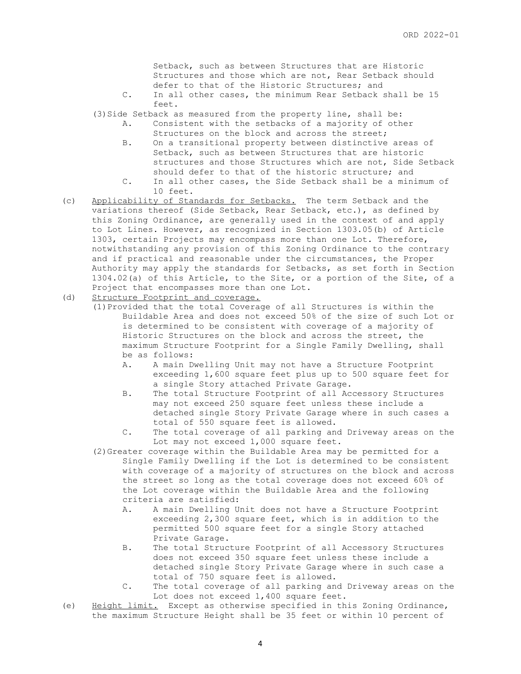Setback, such as between Structures that are Historic Structures and those which are not, Rear Setback should defer to that of the Historic Structures; and

- C. In all other cases, the minimum Rear Setback shall be 15 feet.
- (3) Side Setback as measured from the property line, shall be:
	- A. Consistent with the setbacks of a majority of other Structures on the block and across the street;
		- B. On a transitional property between distinctive areas of Setback, such as between Structures that are historic structures and those Structures which are not, Side Setback should defer to that of the historic structure; and
		- C. In all other cases, the Side Setback shall be a minimum of 10 feet.
- (c) Applicability of Standards for Setbacks. The term Setback and the variations thereof (Side Setback, Rear Setback, etc.), as defined by this Zoning Ordinance, are generally used in the context of and apply to Lot Lines. However, as recognized in Section 1303.05(b) of Article 1303, certain Projects may encompass more than one Lot. Therefore, notwithstanding any provision of this Zoning Ordinance to the contrary and if practical and reasonable under the circumstances, the Proper Authority may apply the standards for Setbacks, as set forth in Section 1304.02(a) of this Article, to the Site, or a portion of the Site, of a Project that encompasses more than one Lot.
- (d) Structure Footprint and coverage.
	- (1)Provided that the total Coverage of all Structures is within the Buildable Area and does not exceed 50% of the size of such Lot or is determined to be consistent with coverage of a majority of Historic Structures on the block and across the street, the maximum Structure Footprint for a Single Family Dwelling, shall be as follows:
		- A. A main Dwelling Unit may not have a Structure Footprint exceeding 1,600 square feet plus up to 500 square feet for a single Story attached Private Garage.
		- B. The total Structure Footprint of all Accessory Structures may not exceed 250 square feet unless these include a detached single Story Private Garage where in such cases a total of 550 square feet is allowed.
		- C. The total coverage of all parking and Driveway areas on the Lot may not exceed 1,000 square feet.
	- (2)Greater coverage within the Buildable Area may be permitted for a Single Family Dwelling if the Lot is determined to be consistent with coverage of a majority of structures on the block and across the street so long as the total coverage does not exceed 60% of the Lot coverage within the Buildable Area and the following criteria are satisfied:
		- A. A main Dwelling Unit does not have a Structure Footprint exceeding 2,300 square feet, which is in addition to the permitted 500 square feet for a single Story attached Private Garage.
		- B. The total Structure Footprint of all Accessory Structures does not exceed 350 square feet unless these include a detached single Story Private Garage where in such case a total of 750 square feet is allowed.
		- C. The total coverage of all parking and Driveway areas on the Lot does not exceed 1,400 square feet.
- (e) Height limit. Except as otherwise specified in this Zoning Ordinance, the maximum Structure Height shall be 35 feet or within 10 percent of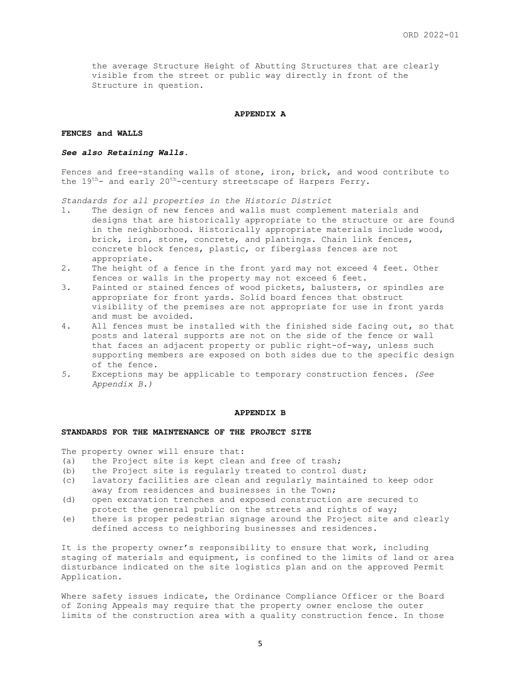the average Structure Height of Abutting Structures that are clearly visible from the street or public way directly in front of the Structure in question.

#### **APPENDIX A**

## **FENCES and WALLS**

### *See also Retaining Walls.*

Fences and free-standing walls of stone, iron, brick, and wood contribute to the  $19^{th}$ - and early  $20^{th}$ -century streetscape of Harpers Ferry.

*Standards for all properties in the Historic District*

- 1. The design of new fences and walls must complement materials and designs that are historically appropriate to the structure or are found in the neighborhood. Historically appropriate materials include wood, brick, iron, stone, concrete, and plantings. Chain link fences, concrete block fences, plastic, or fiberglass fences are not appropriate.
- 2. The height of a fence in the front yard may not exceed 4 feet. Other fences or walls in the property may not exceed 6 feet.
- 3. Painted or stained fences of wood pickets, balusters, or spindles are appropriate for front yards. Solid board fences that obstruct visibility of the premises are not appropriate for use in front yards and must be avoided.
- 4. All fences must be installed with the finished side facing out, so that posts and lateral supports are not on the side of the fence or wall that faces an adjacent property or public right-of-way, unless such supporting members are exposed on both sides due to the specific design of the fence.
- *5.* Exceptions may be applicable to temporary construction fences. *(See Appendix B.)*

### **APPENDIX B**

## **STANDARDS FOR THE MAINTENANCE OF THE PROJECT SITE**

The property owner will ensure that:

- (a) the Project site is kept clean and free of trash;
- (b) the Project site is regularly treated to control dust;
- (c) lavatory facilities are clean and regularly maintained to keep odor away from residences and businesses in the Town;
- (d) open excavation trenches and exposed construction are secured to protect the general public on the streets and rights of way;
- (e) there is proper pedestrian signage around the Project site and clearly defined access to neighboring businesses and residences.

It is the property owner's responsibility to ensure that work, including staging of materials and equipment, is confined to the limits of land or area disturbance indicated on the site logistics plan and on the approved Permit Application.

Where safety issues indicate, the Ordinance Compliance Officer or the Board of Zoning Appeals may require that the property owner enclose the outer limits of the construction area with a quality construction fence. In those